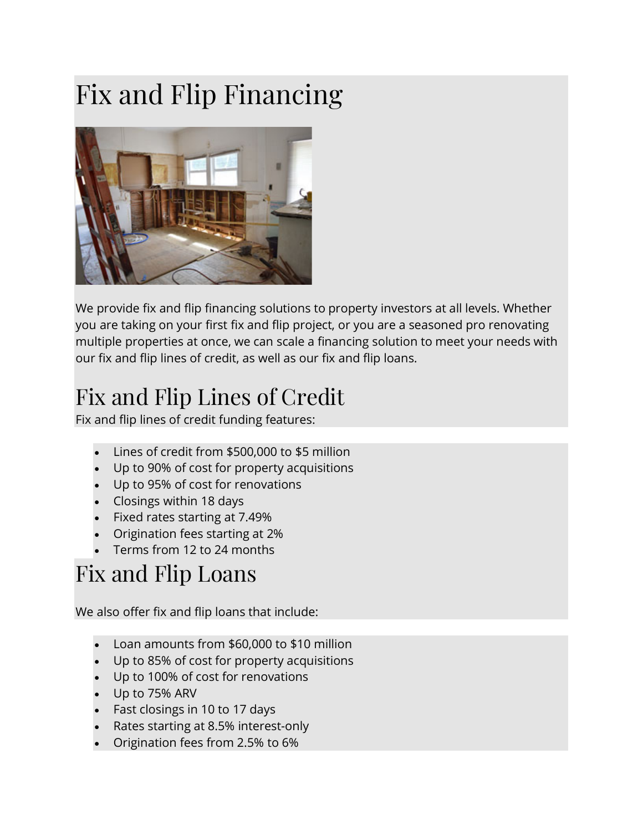## Fix and Flip Financing



We provide fix and flip financing solutions to property investors at all levels. Whether you are taking on your first fix and flip project, or you are a seasoned pro renovating multiple properties at once, we can scale a financing solution to meet your needs with our fix and flip lines of credit, as well as our fix and flip loans.

## Fix and Flip Lines of Credit

Fix and flip lines of credit funding features:

- Lines of credit from \$500,000 to \$5 million
- Up to 90% of cost for property acquisitions
- Up to 95% of cost for renovations
- Closings within 18 days
- Fixed rates starting at 7.49%
- Origination fees starting at 2%
- Terms from 12 to 24 months

## Fix and Flip Loans

We also offer fix and flip loans that include:

- Loan amounts from \$60,000 to \$10 million
- Up to 85% of cost for property acquisitions
- Up to 100% of cost for renovations
- Up to 75% ARV
- Fast closings in 10 to 17 days
- Rates starting at 8.5% interest-only
- Origination fees from 2.5% to 6%